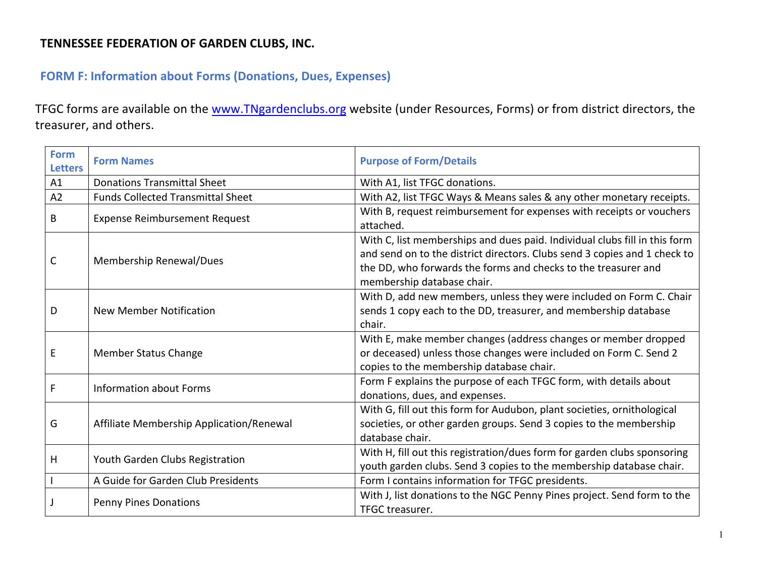#### **TENNESSEE FEDERATION OF GARDEN CLUBS, INC.**

## **FORM F: Information about Forms (Donations, Dues, Expenses)**

TFGC forms are available on the www.TNgardenclubs.org website (under Resources, Forms) or from district directors, the treasurer, and others.

| <b>Form</b><br><b>Letters</b> | <b>Form Names</b>                        | <b>Purpose of Form/Details</b>                                                                                                                                                                                                                          |
|-------------------------------|------------------------------------------|---------------------------------------------------------------------------------------------------------------------------------------------------------------------------------------------------------------------------------------------------------|
| A1                            | <b>Donations Transmittal Sheet</b>       | With A1, list TFGC donations.                                                                                                                                                                                                                           |
| A <sub>2</sub>                | <b>Funds Collected Transmittal Sheet</b> | With A2, list TFGC Ways & Means sales & any other monetary receipts.                                                                                                                                                                                    |
| B                             | <b>Expense Reimbursement Request</b>     | With B, request reimbursement for expenses with receipts or vouchers<br>attached.                                                                                                                                                                       |
| C                             | Membership Renewal/Dues                  | With C, list memberships and dues paid. Individual clubs fill in this form<br>and send on to the district directors. Clubs send 3 copies and 1 check to<br>the DD, who forwards the forms and checks to the treasurer and<br>membership database chair. |
| D                             | <b>New Member Notification</b>           | With D, add new members, unless they were included on Form C. Chair<br>sends 1 copy each to the DD, treasurer, and membership database<br>chair.                                                                                                        |
| E                             | <b>Member Status Change</b>              | With E, make member changes (address changes or member dropped<br>or deceased) unless those changes were included on Form C. Send 2<br>copies to the membership database chair.                                                                         |
| F                             | <b>Information about Forms</b>           | Form F explains the purpose of each TFGC form, with details about<br>donations, dues, and expenses.                                                                                                                                                     |
| G                             | Affiliate Membership Application/Renewal | With G, fill out this form for Audubon, plant societies, ornithological<br>societies, or other garden groups. Send 3 copies to the membership<br>database chair.                                                                                        |
| Н                             | Youth Garden Clubs Registration          | With H, fill out this registration/dues form for garden clubs sponsoring<br>youth garden clubs. Send 3 copies to the membership database chair.                                                                                                         |
|                               | A Guide for Garden Club Presidents       | Form I contains information for TFGC presidents.                                                                                                                                                                                                        |
|                               | <b>Penny Pines Donations</b>             | With J, list donations to the NGC Penny Pines project. Send form to the<br>TFGC treasurer.                                                                                                                                                              |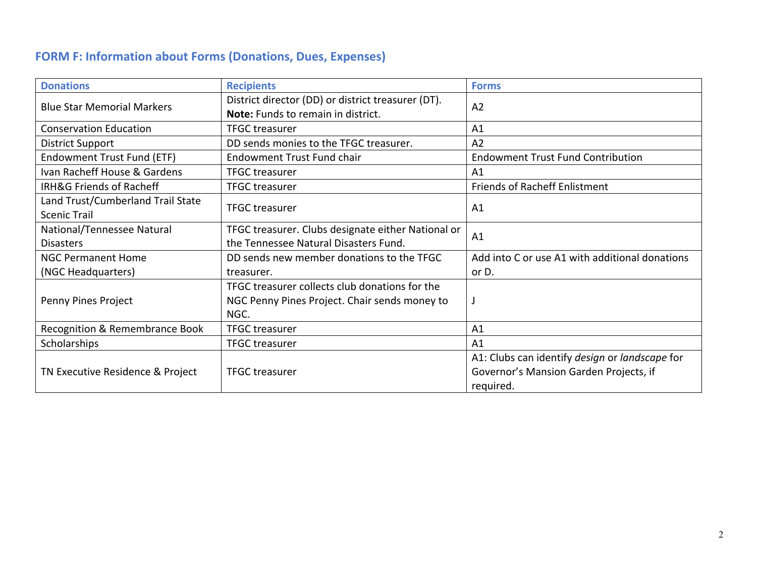# **FORM F: Information about Forms (Donations, Dues, Expenses)**

| <b>Donations</b>                                         | <b>Recipients</b>                                                                                       | <b>Forms</b>                                                                                          |
|----------------------------------------------------------|---------------------------------------------------------------------------------------------------------|-------------------------------------------------------------------------------------------------------|
| <b>Blue Star Memorial Markers</b>                        | District director (DD) or district treasurer (DT).<br>Note: Funds to remain in district.                | A <sub>2</sub>                                                                                        |
| <b>Conservation Education</b>                            | <b>TFGC treasurer</b>                                                                                   | A1                                                                                                    |
| <b>District Support</b>                                  | DD sends monies to the TFGC treasurer.                                                                  | A <sub>2</sub>                                                                                        |
| Endowment Trust Fund (ETF)                               | <b>Endowment Trust Fund chair</b>                                                                       | <b>Endowment Trust Fund Contribution</b>                                                              |
| Ivan Racheff House & Gardens                             | <b>TFGC</b> treasurer                                                                                   | A1                                                                                                    |
| IRH&G Friends of Racheff                                 | <b>TFGC</b> treasurer                                                                                   | <b>Friends of Racheff Enlistment</b>                                                                  |
| Land Trust/Cumberland Trail State<br><b>Scenic Trail</b> | <b>TFGC treasurer</b>                                                                                   | A1                                                                                                    |
| National/Tennessee Natural<br><b>Disasters</b>           | TFGC treasurer. Clubs designate either National or<br>the Tennessee Natural Disasters Fund.             | A <sub>1</sub>                                                                                        |
| <b>NGC Permanent Home</b>                                | DD sends new member donations to the TFGC                                                               | Add into C or use A1 with additional donations                                                        |
| (NGC Headquarters)                                       | treasurer.                                                                                              | or D.                                                                                                 |
| Penny Pines Project                                      | TFGC treasurer collects club donations for the<br>NGC Penny Pines Project. Chair sends money to<br>NGC. |                                                                                                       |
| Recognition & Remembrance Book                           | <b>TFGC</b> treasurer                                                                                   | A1                                                                                                    |
| <b>Scholarships</b>                                      | <b>TFGC treasurer</b>                                                                                   | A <sub>1</sub>                                                                                        |
| TN Executive Residence & Project                         | <b>TFGC treasurer</b>                                                                                   | A1: Clubs can identify design or landscape for<br>Governor's Mansion Garden Projects, if<br>required. |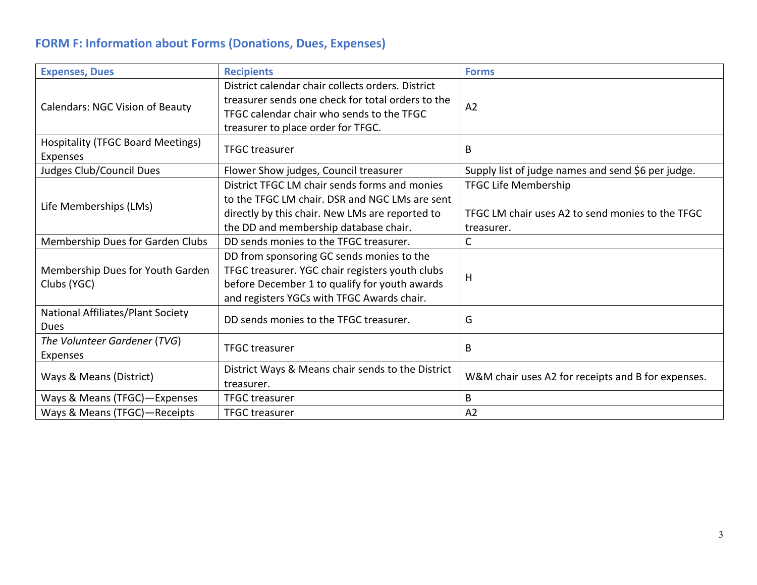# **FORM F: Information about Forms (Donations, Dues, Expenses)**

| <b>Expenses, Dues</b>                                | <b>Recipients</b>                                                                                                                                                                           | <b>Forms</b>                                                                                  |
|------------------------------------------------------|---------------------------------------------------------------------------------------------------------------------------------------------------------------------------------------------|-----------------------------------------------------------------------------------------------|
| <b>Calendars: NGC Vision of Beauty</b>               | District calendar chair collects orders. District<br>treasurer sends one check for total orders to the<br>TFGC calendar chair who sends to the TFGC<br>treasurer to place order for TFGC.   | A <sub>2</sub>                                                                                |
| <b>Hospitality (TFGC Board Meetings)</b><br>Expenses | <b>TFGC</b> treasurer                                                                                                                                                                       | B                                                                                             |
| Judges Club/Council Dues                             | Flower Show judges, Council treasurer                                                                                                                                                       | Supply list of judge names and send \$6 per judge.                                            |
| Life Memberships (LMs)                               | District TFGC LM chair sends forms and monies<br>to the TFGC LM chair. DSR and NGC LMs are sent<br>directly by this chair. New LMs are reported to<br>the DD and membership database chair. | <b>TFGC Life Membership</b><br>TFGC LM chair uses A2 to send monies to the TFGC<br>treasurer. |
| Membership Dues for Garden Clubs                     | DD sends monies to the TFGC treasurer.                                                                                                                                                      | С                                                                                             |
| Membership Dues for Youth Garden<br>Clubs (YGC)      | DD from sponsoring GC sends monies to the<br>TFGC treasurer. YGC chair registers youth clubs<br>before December 1 to qualify for youth awards<br>and registers YGCs with TFGC Awards chair. | H                                                                                             |
| National Affiliates/Plant Society<br>Dues            | DD sends monies to the TFGC treasurer.                                                                                                                                                      | G                                                                                             |
| The Volunteer Gardener (TVG)<br>Expenses             | <b>TFGC</b> treasurer                                                                                                                                                                       | В                                                                                             |
| Ways & Means (District)                              | District Ways & Means chair sends to the District<br>treasurer.                                                                                                                             | W&M chair uses A2 for receipts and B for expenses.                                            |
| Ways & Means (TFGC)-Expenses                         | <b>TFGC</b> treasurer                                                                                                                                                                       | B                                                                                             |
| Ways & Means (TFGC)-Receipts                         | <b>TFGC treasurer</b>                                                                                                                                                                       | A2                                                                                            |